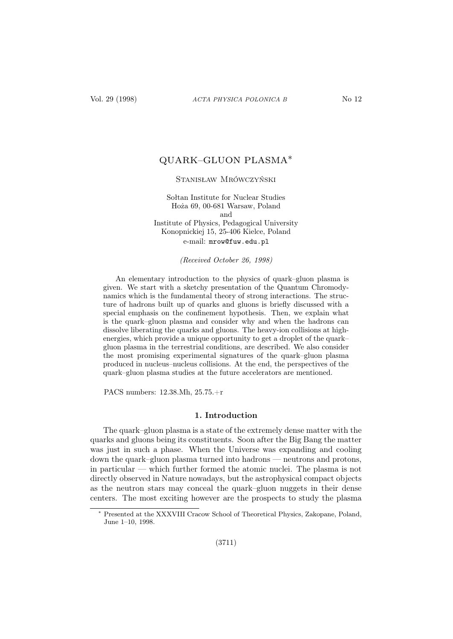# QUARK–GLUON PLASMA∗

# Stanisław Mrówczyński

Sołtan Institute for Nuclear Studies Hoża 69, 00-681 Warsaw, Poland and Institute of Physics, Pedagogical University Konopnickiej 15, 25-406 Kielce, Poland e-mail: mrow@fuw.edu.pl

(Received October 26, 1998)

An elementary introduction to the physics of quark–gluon plasma is given. We start with a sketchy presentation of the Quantum Chromodynamics which is the fundamental theory of strong interactions. The structure of hadrons built up of quarks and gluons is briefly discussed with a special emphasis on the confinement hypothesis. Then, we explain what is the quark–gluon plasma and consider why and when the hadrons can dissolve liberating the quarks and gluons. The heavy-ion collisions at highenergies, which provide a unique opportunity to get a droplet of the quark– gluon plasma in the terrestrial conditions, are described. We also consider the most promising experimental signatures of the quark–gluon plasma produced in nucleus–nucleus collisions. At the end, the perspectives of the quark–gluon plasma studies at the future accelerators are mentioned.

PACS numbers: 12.38.Mh, 25.75.+r

### 1. Introduction

The quark–gluon plasma is a state of the extremely dense matter with the quarks and gluons being its constituents. Soon after the Big Bang the matter was just in such a phase. When the Universe was expanding and cooling down the quark–gluon plasma turned into hadrons — neutrons and protons, in particular — which further formed the atomic nuclei. The plasma is not directly observed in Nature nowadays, but the astrophysical compact objects as the neutron stars may conceal the quark–gluon nuggets in their dense centers. The most exciting however are the prospects to study the plasma

Presented at the XXXVIII Cracow School of Theoretical Physics, Zakopane, Poland, June 1–10, 1998.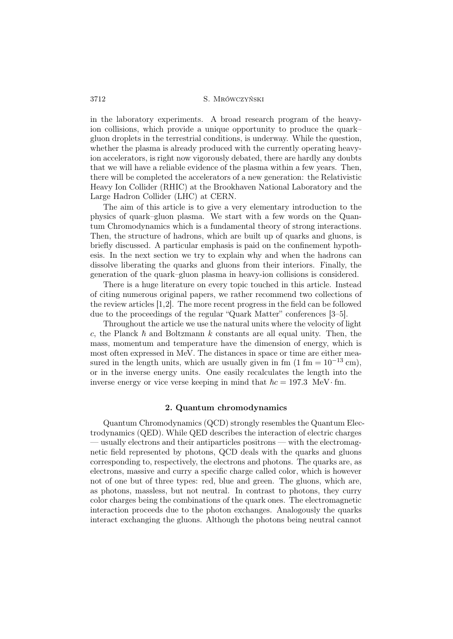in the laboratory experiments. A broad research program of the heavyion collisions, which provide a unique opportunity to produce the quark– gluon droplets in the terrestrial conditions, is underway. While the question, whether the plasma is already produced with the currently operating heavyion accelerators, is right now vigorously debated, there are hardly any doubts that we will have a reliable evidence of the plasma within a few years. Then, there will be completed the accelerators of a new generation: the Relativistic Heavy Ion Collider (RHIC) at the Brookhaven National Laboratory and the Large Hadron Collider (LHC) at CERN.

The aim of this article is to give a very elementary introduction to the physics of quark–gluon plasma. We start with a few words on the Quantum Chromodynamics which is a fundamental theory of strong interactions. Then, the structure of hadrons, which are built up of quarks and gluons, is briefly discussed. A particular emphasis is paid on the confinement hypothesis. In the next section we try to explain why and when the hadrons can dissolve liberating the quarks and gluons from their interiors. Finally, the generation of the quark–gluon plasma in heavy-ion collisions is considered.

There is a huge literature on every topic touched in this article. Instead of citing numerous original papers, we rather recommend two collections of the review articles [1,2]. The more recent progress in the field can be followed due to the proceedings of the regular "Quark Matter" conferences [3–5].

Throughout the article we use the natural units where the velocity of light c, the Planck  $\hbar$  and Boltzmann k constants are all equal unity. Then, the mass, momentum and temperature have the dimension of energy, which is most often expressed in MeV. The distances in space or time are either measured in the length units, which are usually given in fm  $(1 \text{ fm} = 10^{-13} \text{ cm})$ , or in the inverse energy units. One easily recalculates the length into the inverse energy or vice verse keeping in mind that  $\hbar c = 197.3$  MeV· fm.

## 2. Quantum chromodynamics

Quantum Chromodynamics (QCD) strongly resembles the Quantum Electrodynamics (QED). While QED describes the interaction of electric charges — usually electrons and their antiparticles positrons — with the electromagnetic field represented by photons, QCD deals with the quarks and gluons corresponding to, respectively, the electrons and photons. The quarks are, as electrons, massive and curry a specific charge called color, which is however not of one but of three types: red, blue and green. The gluons, which are, as photons, massless, but not neutral. In contrast to photons, they curry color charges being the combinations of the quark ones. The electromagnetic interaction proceeds due to the photon exchanges. Analogously the quarks interact exchanging the gluons. Although the photons being neutral cannot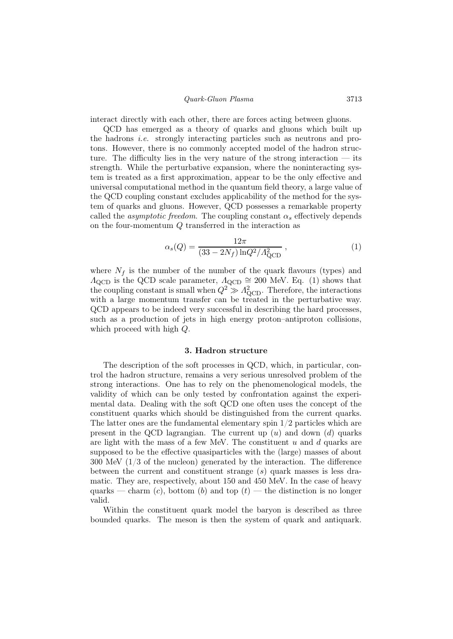### Quark-Gluon Plasma 3713

interact directly with each other, there are forces acting between gluons.

QCD has emerged as a theory of quarks and gluons which built up the hadrons i.e. strongly interacting particles such as neutrons and protons. However, there is no commonly accepted model of the hadron structure. The difficulty lies in the very nature of the strong interaction  $-$  its strength. While the perturbative expansion, where the noninteracting system is treated as a first approximation, appear to be the only effective and universal computational method in the quantum field theory, a large value of the QCD coupling constant excludes applicability of the method for the system of quarks and gluons. However, QCD possesses a remarkable property called the *asymptotic freedom*. The coupling constant  $\alpha_s$  effectively depends on the four-momentum Q transferred in the interaction as

$$
\alpha_s(Q) = \frac{12\pi}{(33 - 2N_f)\ln Q^2 / A_{\text{QCD}}^2} \,,\tag{1}
$$

where  $N_f$  is the number of the number of the quark flavours (types) and  $\Lambda_{\rm QCD}$  is the QCD scale parameter,  $\Lambda_{\rm QCD} \cong 200$  MeV. Eq. (1) shows that the coupling constant is small when  $Q^2 \gg A_{\text{QCD}}^2$ . Therefore, the interactions with a large momentum transfer can be treated in the perturbative way. QCD appears to be indeed very successful in describing the hard processes, such as a production of jets in high energy proton–antiproton collisions, which proceed with high Q.

### 3. Hadron structure

The description of the soft processes in QCD, which, in particular, control the hadron structure, remains a very serious unresolved problem of the strong interactions. One has to rely on the phenomenological models, the validity of which can be only tested by confrontation against the experimental data. Dealing with the soft QCD one often uses the concept of the constituent quarks which should be distinguished from the current quarks. The latter ones are the fundamental elementary spin  $1/2$  particles which are present in the QCD lagrangian. The current up  $(u)$  and down  $(d)$  quarks are light with the mass of a few MeV. The constituent  $u$  and  $d$  quarks are supposed to be the effective quasiparticles with the (large) masses of about 300 MeV (1/3 of the nucleon) generated by the interaction. The difference between the current and constituent strange  $(s)$  quark masses is less dramatic. They are, respectively, about 150 and 450 MeV. In the case of heavy quarks — charm  $(c)$ , bottom  $(b)$  and top  $(t)$  — the distinction is no longer valid.

Within the constituent quark model the baryon is described as three bounded quarks. The meson is then the system of quark and antiquark.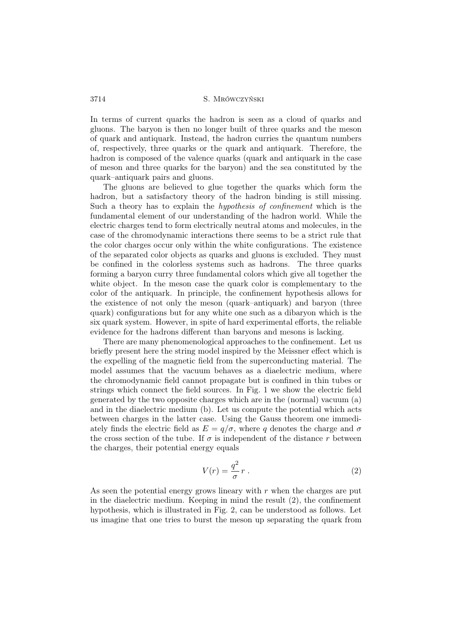In terms of current quarks the hadron is seen as a cloud of quarks and gluons. The baryon is then no longer built of three quarks and the meson of quark and antiquark. Instead, the hadron curries the quantum numbers of, respectively, three quarks or the quark and antiquark. Therefore, the hadron is composed of the valence quarks (quark and antiquark in the case of meson and three quarks for the baryon) and the sea constituted by the quark–antiquark pairs and gluons.

The gluons are believed to glue together the quarks which form the hadron, but a satisfactory theory of the hadron binding is still missing. Such a theory has to explain the hypothesis of confinement which is the fundamental element of our understanding of the hadron world. While the electric charges tend to form electrically neutral atoms and molecules, in the case of the chromodynamic interactions there seems to be a strict rule that the color charges occur only within the white configurations. The existence of the separated color objects as quarks and gluons is excluded. They must be confined in the colorless systems such as hadrons. The three quarks forming a baryon curry three fundamental colors which give all together the white object. In the meson case the quark color is complementary to the color of the antiquark. In principle, the confinement hypothesis allows for the existence of not only the meson (quark–antiquark) and baryon (three quark) configurations but for any white one such as a dibaryon which is the six quark system. However, in spite of hard experimental efforts, the reliable evidence for the hadrons different than baryons and mesons is lacking.

There are many phenomenological approaches to the confinement. Let us briefly present here the string model inspired by the Meissner effect which is the expelling of the magnetic field from the superconducting material. The model assumes that the vacuum behaves as a diaelectric medium, where the chromodynamic field cannot propagate but is confined in thin tubes or strings which connect the field sources. In Fig. 1 we show the electric field generated by the two opposite charges which are in the (normal) vacuum (a) and in the diaelectric medium (b). Let us compute the potential which acts between charges in the latter case. Using the Gauss theorem one immediately finds the electric field as  $E = q/\sigma$ , where q denotes the charge and  $\sigma$ the cross section of the tube. If  $\sigma$  is independent of the distance r between the charges, their potential energy equals

$$
V(r) = \frac{q^2}{\sigma} r \ . \tag{2}
$$

As seen the potential energy grows lineary with  $r$  when the charges are put in the diaelectric medium. Keeping in mind the result (2), the confinement hypothesis, which is illustrated in Fig. 2, can be understood as follows. Let us imagine that one tries to burst the meson up separating the quark from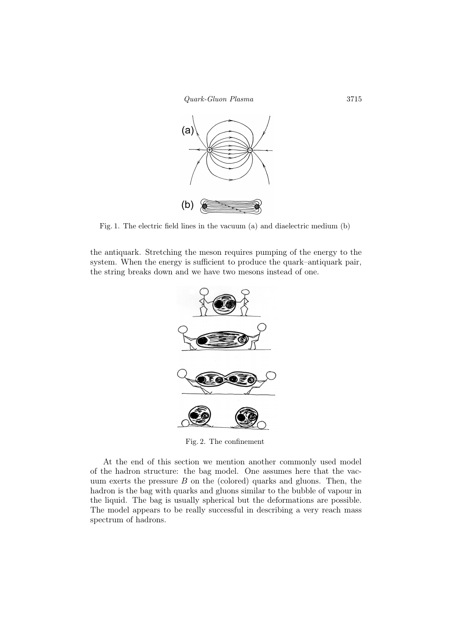



Fig. 1. The electric field lines in the vacuum (a) and diaelectric medium (b)

the antiquark. Stretching the meson requires pumping of the energy to the system. When the energy is sufficient to produce the quark–antiquark pair, the string breaks down and we have two mesons instead of one.



Fig. 2. The confinement

At the end of this section we mention another commonly used model of the hadron structure: the bag model. One assumes here that the vacuum exerts the pressure  $B$  on the (colored) quarks and gluons. Then, the hadron is the bag with quarks and gluons similar to the bubble of vapour in the liquid. The bag is usually spherical but the deformations are possible. The model appears to be really successful in describing a very reach mass spectrum of hadrons.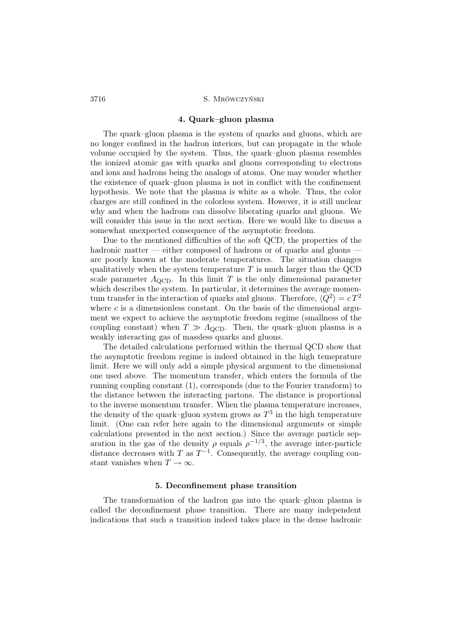### 4. Quark–gluon plasma

The quark–gluon plasma is the system of quarks and gluons, which are no longer confined in the hadron interiors, but can propagate in the whole volume occupied by the system. Thus, the quark–gluon plasma resembles the ionized atomic gas with quarks and gluons corresponding to electrons and ions and hadrons being the analogs of atoms. One may wonder whether the existence of quark–gluon plasma is not in conflict with the confinement hypothesis. We note that the plasma is white as a whole. Thus, the color charges are still confined in the colorless system. However, it is still unclear why and when the hadrons can dissolve liberating quarks and gluons. We will consider this issue in the next section. Here we would like to discuss a somewhat unexpected consequence of the asymptotic freedom.

Due to the mentioned difficulties of the soft QCD, the properties of the hadronic matter — either composed of hadrons or of quarks and gluons are poorly known at the moderate temperatures. The situation changes qualitatively when the system temperature  $T$  is much larger than the QCD scale parameter  $\Lambda_{\text{QCD}}$ . In this limit T is the only dimensional parameter which describes the system. In particular, it determines the average momentum transfer in the interaction of quarks and gluons. Therefore,  $\langle Q^2 \rangle = cT^2$ where  $c$  is a dimensionless constant. On the basis of the dimensional argument we expect to achieve the asymptotic freedom regime (smallness of the coupling constant) when  $T \gg \Lambda_{\rm QCD}$ . Then, the quark–gluon plasma is a weakly interacting gas of massless quarks and gluons.

The detailed calculations performed within the thermal QCD show that the asymptotic freedom regime is indeed obtained in the high temeprature limit. Here we will only add a simple physical argument to the dimensional one used above. The momentum transfer, which enters the formula of the running coupling constant (1), corresponds (due to the Fourier transform) to the distance between the interacting partons. The distance is proportional to the inverse momentum transfer. When the plasma temperature increases, the density of the quark–gluon system grows as  $T^3$  in the high temperature limit. (One can refer here again to the dimensional arguments or simple calculations presented in the next section.) Since the average particle separation in the gas of the density  $\rho$  equals  $\rho^{-1/3}$ , the average inter-particle distance decreases with T as  $T^{-1}$ . Consequently, the average coupling constant vanishes when  $T \to \infty$ .

## 5. Deconfinement phase transition

The transformation of the hadron gas into the quark–gluon plasma is called the deconfinement phase transition. There are many independent indications that such a transition indeed takes place in the dense hadronic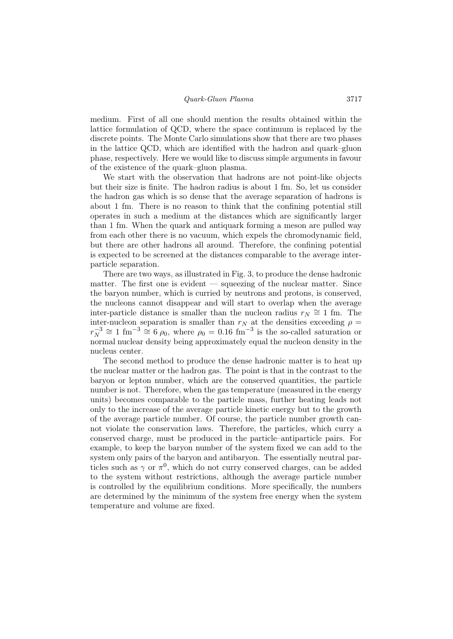medium. First of all one should mention the results obtained within the lattice formulation of QCD, where the space continuum is replaced by the discrete points. The Monte Carlo simulations show that there are two phases in the lattice QCD, which are identified with the hadron and quark–gluon phase, respectively. Here we would like to discuss simple arguments in favour of the existence of the quark–gluon plasma.

We start with the observation that hadrons are not point-like objects but their size is finite. The hadron radius is about 1 fm. So, let us consider the hadron gas which is so dense that the average separation of hadrons is about 1 fm. There is no reason to think that the confining potential still operates in such a medium at the distances which are significantly larger than 1 fm. When the quark and antiquark forming a meson are pulled way from each other there is no vacuum, which expels the chromodynamic field, but there are other hadrons all around. Therefore, the confining potential is expected to be screened at the distances comparable to the average interparticle separation.

There are two ways, as illustrated in Fig. 3, to produce the dense hadronic matter. The first one is evident  $-$  squeezing of the nuclear matter. Since the baryon number, which is curried by neutrons and protons, is conserved, the nucleons cannot disappear and will start to overlap when the average inter-particle distance is smaller than the nucleon radius  $r_N \approx 1$  fm. The inter-nucleon separation is smaller than  $r_N$  at the densities exceeding  $\rho =$  $r_N^{-3}$  $\gamma_N^{-3} \cong 1$  fm<sup>-3</sup>  $\cong 6$   $\rho_0$ , where  $\rho_0 = 0.16$  fm<sup>-3</sup> is the so-called saturation or normal nuclear density being approximately equal the nucleon density in the nucleus center.

The second method to produce the dense hadronic matter is to heat up the nuclear matter or the hadron gas. The point is that in the contrast to the baryon or lepton number, which are the conserved quantities, the particle number is not. Therefore, when the gas temperature (measured in the energy units) becomes comparable to the particle mass, further heating leads not only to the increase of the average particle kinetic energy but to the growth of the average particle number. Of course, the particle number growth cannot violate the conservation laws. Therefore, the particles, which curry a conserved charge, must be produced in the particle–antiparticle pairs. For example, to keep the baryon number of the system fixed we can add to the system only pairs of the baryon and antibaryon. The essentially neutral particles such as  $\gamma$  or  $\pi^0$ , which do not curry conserved charges, can be added to the system without restrictions, although the average particle number is controlled by the equilibrium conditions. More specifically, the numbers are determined by the minimum of the system free energy when the system temperature and volume are fixed.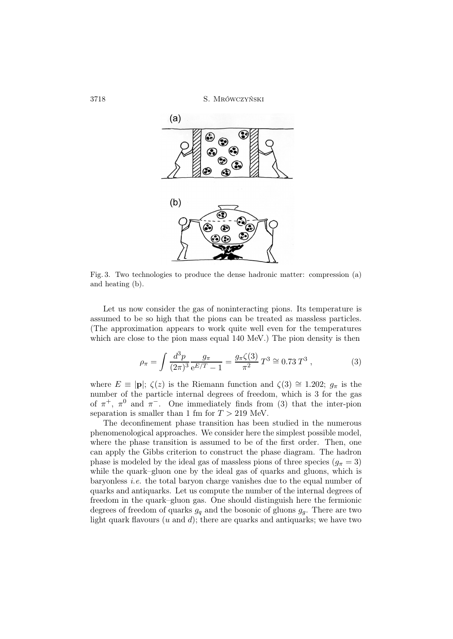3718 S. Mrówczyński



Fig. 3. Two technologies to produce the dense hadronic matter: compression (a) and heating (b).

Let us now consider the gas of noninteracting pions. Its temperature is assumed to be so high that the pions can be treated as massless particles. (The approximation appears to work quite well even for the temperatures which are close to the pion mass equal 140 MeV.) The pion density is then

$$
\rho_{\pi} = \int \frac{d^3 p}{(2\pi)^3} \frac{g_{\pi}}{e^{E/T} - 1} = \frac{g_{\pi}\zeta(3)}{\pi^2} T^3 \cong 0.73 T^3 ,\qquad (3)
$$

where  $E \equiv |\mathbf{p}|$ ;  $\zeta(z)$  is the Riemann function and  $\zeta(3) \cong 1.202$ ;  $g_{\pi}$  is the number of the particle internal degrees of freedom, which is 3 for the gas of  $\pi^+$ ,  $\pi^0$  and  $\pi^-$ . One immediately finds from (3) that the inter-pion separation is smaller than 1 fm for  $T > 219$  MeV.

The deconfinement phase transition has been studied in the numerous phenomenological approaches. We consider here the simplest possible model, where the phase transition is assumed to be of the first order. Then, one can apply the Gibbs criterion to construct the phase diagram. The hadron phase is modeled by the ideal gas of massless pions of three species  $(q_\pi = 3)$ while the quark–gluon one by the ideal gas of quarks and gluons, which is baryonless i.e. the total baryon charge vanishes due to the equal number of quarks and antiquarks. Let us compute the number of the internal degrees of freedom in the quark–gluon gas. One should distinguish here the fermionic degrees of freedom of quarks  $g_q$  and the bosonic of gluons  $g_q$ . There are two light quark flavours  $(u \text{ and } d)$ ; there are quarks and antiquarks; we have two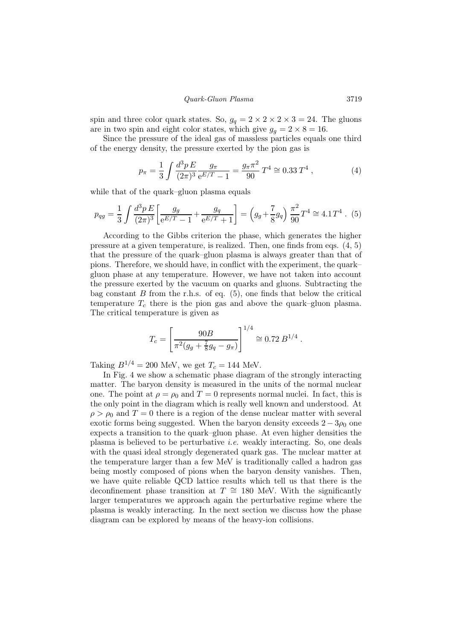## Quark-Gluon Plasma 3719

spin and three color quark states. So,  $g_q = 2 \times 2 \times 2 \times 3 = 24$ . The gluons are in two spin and eight color states, which give  $g_q = 2 \times 8 = 16$ .

Since the pressure of the ideal gas of massless particles equals one third of the energy density, the pressure exerted by the pion gas is

$$
p_{\pi} = \frac{1}{3} \int \frac{d^3 p \, E}{(2\pi)^3} \frac{g_{\pi}}{e^{E/T} - 1} = \frac{g_{\pi} \pi^2}{90} \, T^4 \cong 0.33 \, T^4 \,, \tag{4}
$$

while that of the quark–gluon plasma equals

$$
p_{qg} = \frac{1}{3} \int \frac{d^3 p E}{(2\pi)^3} \left[ \frac{g_g}{e^{E/T} - 1} + \frac{g_q}{e^{E/T} + 1} \right] = \left( g_g + \frac{7}{8} g_q \right) \frac{\pi^2}{90} T^4 \cong 4.1 T^4 \quad (5)
$$

According to the Gibbs criterion the phase, which generates the higher pressure at a given temperature, is realized. Then, one finds from eqs. (4, 5) that the pressure of the quark–gluon plasma is always greater than that of pions. Therefore, we should have, in conflict with the experiment, the quark– gluon phase at any temperature. However, we have not taken into account the pressure exerted by the vacuum on quarks and gluons. Subtracting the bag constant  $B$  from the r.h.s. of eq.  $(5)$ , one finds that below the critical temperature  $T_c$  there is the pion gas and above the quark–gluon plasma. The critical temperature is given as

$$
T_c = \left[\frac{90B}{\pi^2 (g_g + \frac{7}{8}g_q - g_\pi)}\right]^{1/4} \cong 0.72 B^{1/4} .
$$

Taking  $B^{1/4} = 200$  MeV, we get  $T_c = 144$  MeV.

In Fig. 4 we show a schematic phase diagram of the strongly interacting matter. The baryon density is measured in the units of the normal nuclear one. The point at  $\rho = \rho_0$  and  $T = 0$  represents normal nuclei. In fact, this is the only point in the diagram which is really well known and understood. At  $\rho > \rho_0$  and  $T = 0$  there is a region of the dense nuclear matter with several exotic forms being suggested. When the baryon density exceeds  $2 - 3\rho_0$  one expects a transition to the quark–gluon phase. At even higher densities the plasma is believed to be perturbative i.e. weakly interacting. So, one deals with the quasi ideal strongly degenerated quark gas. The nuclear matter at the temperature larger than a few MeV is traditionally called a hadron gas being mostly composed of pions when the baryon density vanishes. Then, we have quite reliable QCD lattice results which tell us that there is the deconfinement phase transition at  $T \approx 180$  MeV. With the significantly larger temperatures we approach again the perturbative regime where the plasma is weakly interacting. In the next section we discuss how the phase diagram can be explored by means of the heavy-ion collisions.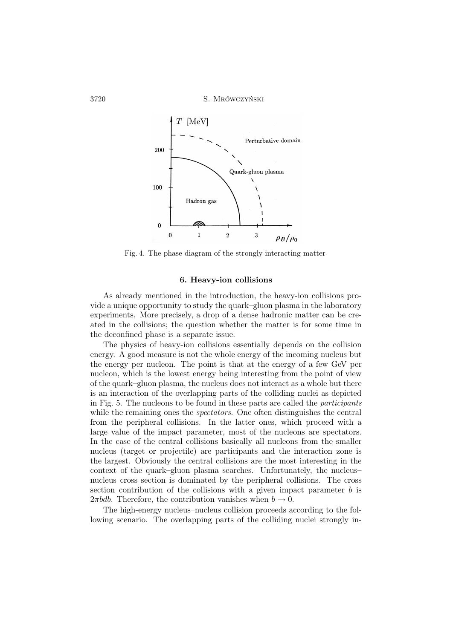

Fig. 4. The phase diagram of the strongly interacting matter

# 6. Heavy-ion collisions

As already mentioned in the introduction, the heavy-ion collisions provide a unique opportunity to study the quark–gluon plasma in the laboratory experiments. More precisely, a drop of a dense hadronic matter can be created in the collisions; the question whether the matter is for some time in the deconfined phase is a separate issue.

The physics of heavy-ion collisions essentially depends on the collision energy. A good measure is not the whole energy of the incoming nucleus but the energy per nucleon. The point is that at the energy of a few GeV per nucleon, which is the lowest energy being interesting from the point of view of the quark–gluon plasma, the nucleus does not interact as a whole but there is an interaction of the overlapping parts of the colliding nuclei as depicted in Fig. 5. The nucleons to be found in these parts are called the participants while the remaining ones the *spectators*. One often distinguishes the central from the peripheral collisions. In the latter ones, which proceed with a large value of the impact parameter, most of the nucleons are spectators. In the case of the central collisions basically all nucleons from the smaller nucleus (target or projectile) are participants and the interaction zone is the largest. Obviously the central collisions are the most interesting in the context of the quark–gluon plasma searches. Unfortunately, the nucleus– nucleus cross section is dominated by the peripheral collisions. The cross section contribution of the collisions with a given impact parameter  $b$  is  $2\pi bdb$ . Therefore, the contribution vanishes when  $b \to 0$ .

The high-energy nucleus–nucleus collision proceeds according to the following scenario. The overlapping parts of the colliding nuclei strongly in-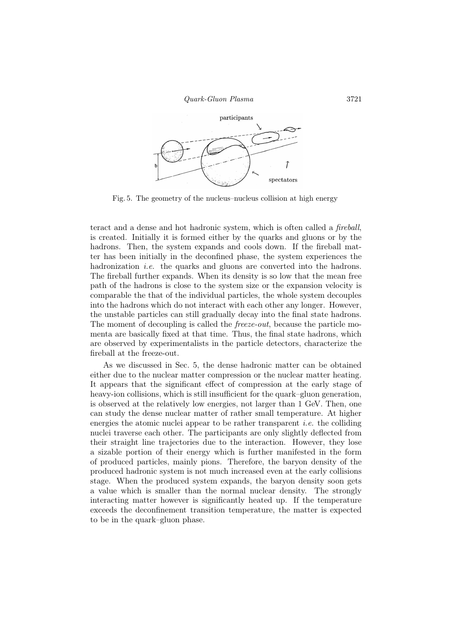Quark-Gluon Plasma 3721



Fig. 5. The geometry of the nucleus–nucleus collision at high energy

teract and a dense and hot hadronic system, which is often called a fireball, is created. Initially it is formed either by the quarks and gluons or by the hadrons. Then, the system expands and cools down. If the fireball matter has been initially in the deconfined phase, the system experiences the hadronization *i.e.* the quarks and gluons are converted into the hadrons. The fireball further expands. When its density is so low that the mean free path of the hadrons is close to the system size or the expansion velocity is comparable the that of the individual particles, the whole system decouples into the hadrons which do not interact with each other any longer. However, the unstable particles can still gradually decay into the final state hadrons. The moment of decoupling is called the *freeze-out*, because the particle momenta are basically fixed at that time. Thus, the final state hadrons, which are observed by experimentalists in the particle detectors, characterize the fireball at the freeze-out.

As we discussed in Sec. 5, the dense hadronic matter can be obtained either due to the nuclear matter compression or the nuclear matter heating. It appears that the significant effect of compression at the early stage of heavy-ion collisions, which is still insufficient for the quark–gluon generation, is observed at the relatively low energies, not larger than 1 GeV. Then, one can study the dense nuclear matter of rather small temperature. At higher energies the atomic nuclei appear to be rather transparent *i.e.* the colliding nuclei traverse each other. The participants are only slightly deflected from their straight line trajectories due to the interaction. However, they lose a sizable portion of their energy which is further manifested in the form of produced particles, mainly pions. Therefore, the baryon density of the produced hadronic system is not much increased even at the early collisions stage. When the produced system expands, the baryon density soon gets a value which is smaller than the normal nuclear density. The strongly interacting matter however is significantly heated up. If the temperature exceeds the deconfinement transition temperature, the matter is expected to be in the quark–gluon phase.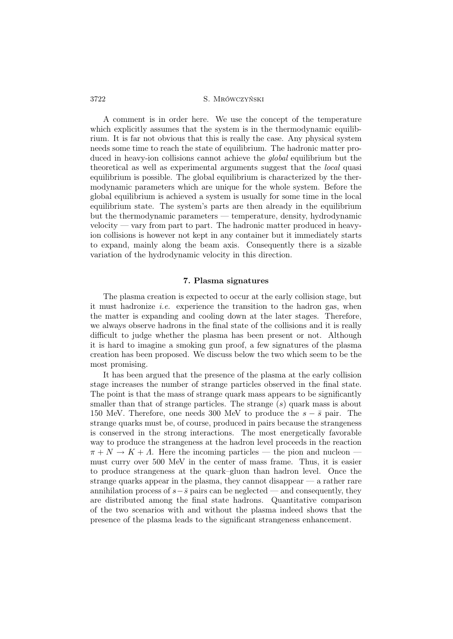A comment is in order here. We use the concept of the temperature which explicitly assumes that the system is in the thermodynamic equilibrium. It is far not obvious that this is really the case. Any physical system needs some time to reach the state of equilibrium. The hadronic matter produced in heavy-ion collisions cannot achieve the *global* equilibrium but the theoretical as well as experimental arguments suggest that the local quasi equilibrium is possible. The global equilibrium is characterized by the thermodynamic parameters which are unique for the whole system. Before the global equilibrium is achieved a system is usually for some time in the local equilibrium state. The system's parts are then already in the equilibrium but the thermodynamic parameters — temperature, density, hydrodynamic velocity — vary from part to part. The hadronic matter produced in heavyion collisions is however not kept in any container but it immediately starts to expand, mainly along the beam axis. Consequently there is a sizable variation of the hydrodynamic velocity in this direction.

### 7. Plasma signatures

The plasma creation is expected to occur at the early collision stage, but it must hadronize *i.e.* experience the transition to the hadron gas, when the matter is expanding and cooling down at the later stages. Therefore, we always observe hadrons in the final state of the collisions and it is really difficult to judge whether the plasma has been present or not. Although it is hard to imagine a smoking gun proof, a few signatures of the plasma creation has been proposed. We discuss below the two which seem to be the most promising.

It has been argued that the presence of the plasma at the early collision stage increases the number of strange particles observed in the final state. The point is that the mass of strange quark mass appears to be significantly smaller than that of strange particles. The strange  $(s)$  quark mass is about 150 MeV. Therefore, one needs 300 MeV to produce the  $s - \bar{s}$  pair. The strange quarks must be, of course, produced in pairs because the strangeness is conserved in the strong interactions. The most energetically favorable way to produce the strangeness at the hadron level proceeds in the reaction  $\pi + N \to K + \Lambda$ . Here the incoming particles — the pion and nucleon must curry over 500 MeV in the center of mass frame. Thus, it is easier to produce strangeness at the quark–gluon than hadron level. Once the strange quarks appear in the plasma, they cannot disappear — a rather rare annihilation process of  $s-\overline{s}$  pairs can be neglected — and consequently, they are distributed among the final state hadrons. Quantitative comparison of the two scenarios with and without the plasma indeed shows that the presence of the plasma leads to the significant strangeness enhancement.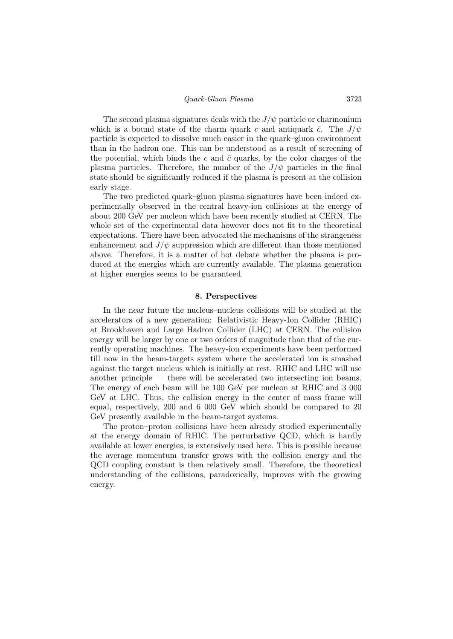The second plasma signatures deals with the  $J/\psi$  particle or charmonium which is a bound state of the charm quark c and antiquark  $\bar{c}$ . The  $J/\psi$ particle is expected to dissolve much easier in the quark–gluon environment than in the hadron one. This can be understood as a result of screening of the potential, which binds the c and  $\bar{c}$  quarks, by the color charges of the plasma particles. Therefore, the number of the  $J/\psi$  particles in the final state should be significantly reduced if the plasma is present at the collision early stage.

The two predicted quark–gluon plasma signatures have been indeed experimentally observed in the central heavy-ion collisions at the energy of about 200 GeV per nucleon which have been recently studied at CERN. The whole set of the experimental data however does not fit to the theoretical expectations. There have been advocated the mechanisms of the strangeness enhancement and  $J/\psi$  suppression which are different than those mentioned above. Therefore, it is a matter of hot debate whether the plasma is produced at the energies which are currently available. The plasma generation at higher energies seems to be guaranteed.

## 8. Perspectives

In the near future the nucleus–nucleus collisions will be studied at the accelerators of a new generation: Relativistic Heavy-Ion Collider (RHIC) at Brookhaven and Large Hadron Collider (LHC) at CERN. The collision energy will be larger by one or two orders of magnitude than that of the currently operating machines. The heavy-ion experiments have been performed till now in the beam-targets system where the accelerated ion is smashed against the target nucleus which is initially at rest. RHIC and LHC will use another principle — there will be accelerated two intersecting ion beams. The energy of each beam will be 100 GeV per nucleon at RHIC and 3 000 GeV at LHC. Thus, the collision energy in the center of mass frame will equal, respectively, 200 and 6 000 GeV which should be compared to 20 GeV presently available in the beam-target systems.

The proton–proton collisions have been already studied experimentally at the energy domain of RHIC. The perturbative QCD, which is hardly available at lower energies, is extensively used here. This is possible because the average momentum transfer grows with the collision energy and the QCD coupling constant is then relatively small. Therefore, the theoretical understanding of the collisions, paradoxically, improves with the growing energy.